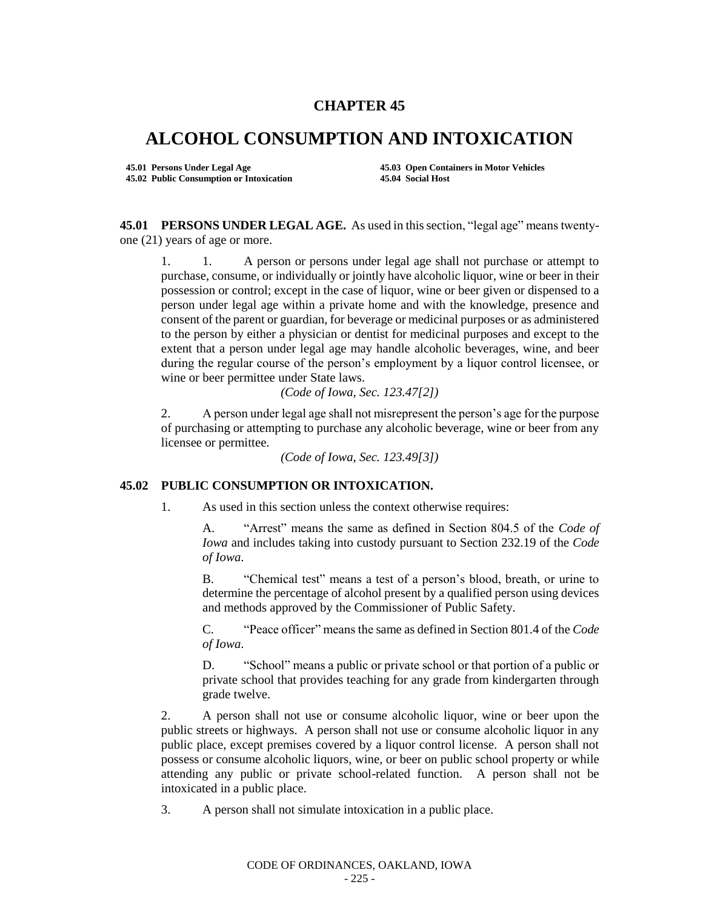## **CHAPTER 45**

## **ALCOHOL CONSUMPTION AND INTOXICATION**

**45.02 Public Consumption or Intoxication 45.04 Social Host**

**45.01 Persons Under Legal Age 45.03 Open Containers in Motor Vehicles**

**45.01 PERSONS UNDER LEGAL AGE.** As used in this section, "legal age" means twentyone (21) years of age or more.

1. 1. A person or persons under legal age shall not purchase or attempt to purchase, consume, or individually or jointly have alcoholic liquor, wine or beer in their possession or control; except in the case of liquor, wine or beer given or dispensed to a person under legal age within a private home and with the knowledge, presence and consent of the parent or guardian, for beverage or medicinal purposes or as administered to the person by either a physician or dentist for medicinal purposes and except to the extent that a person under legal age may handle alcoholic beverages, wine, and beer during the regular course of the person's employment by a liquor control licensee, or wine or beer permittee under State laws.

*(Code of Iowa, Sec. 123.47[2])*

2. A person under legal age shall not misrepresent the person's age for the purpose of purchasing or attempting to purchase any alcoholic beverage, wine or beer from any licensee or permittee.

*(Code of Iowa, Sec. 123.49[3])*

## **45.02 PUBLIC CONSUMPTION OR INTOXICATION.**

1. As used in this section unless the context otherwise requires:

A. "Arrest" means the same as defined in Section 804.5 of the *Code of Iowa* and includes taking into custody pursuant to Section 232.19 of the *Code of Iowa*.

B. "Chemical test" means a test of a person's blood, breath, or urine to determine the percentage of alcohol present by a qualified person using devices and methods approved by the Commissioner of Public Safety.

C. "Peace officer" means the same as defined in Section 801.4 of the *Code of Iowa*.

D. "School" means a public or private school or that portion of a public or private school that provides teaching for any grade from kindergarten through grade twelve.

2. A person shall not use or consume alcoholic liquor, wine or beer upon the public streets or highways. A person shall not use or consume alcoholic liquor in any public place, except premises covered by a liquor control license. A person shall not possess or consume alcoholic liquors, wine, or beer on public school property or while attending any public or private school-related function. A person shall not be intoxicated in a public place.

3. A person shall not simulate intoxication in a public place.